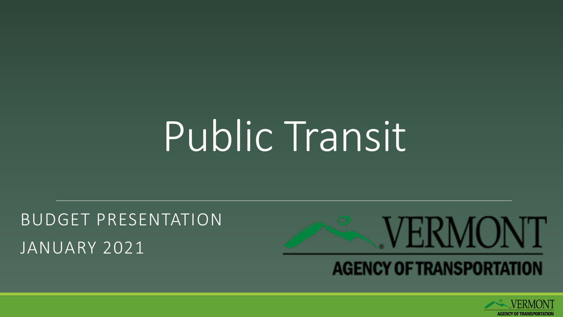# Public Transit

BUDGET PRESENTATION JANUARY 2021



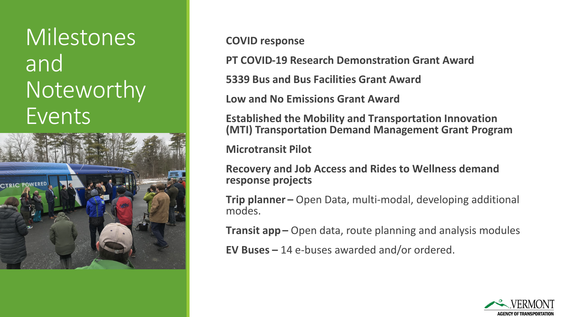## **Milestones** and Noteworthy Events



**COVID response**

**PT COVID-19 Research Demonstration Grant Award**

**5339 Bus and Bus Facilities Grant Award**

**Low and No Emissions Grant Award**

**Established the Mobility and Transportation Innovation (MTI) Transportation Demand Management Grant Program**

**Microtransit Pilot**

**Recovery and Job Access and Rides to Wellness demand response projects**

**Trip planner –** Open Data, multi-modal, developing additional modes.

**Transit app –** Open data, route planning and analysis modules

**EV Buses –** 14 e-buses awarded and/or ordered.

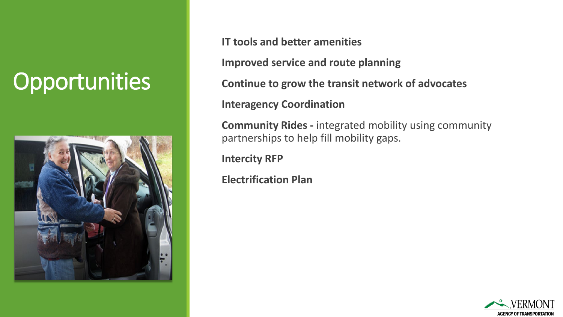## **Opportunities**



**IT tools and better amenities**

**Improved service and route planning**

**Continue to grow the transit network of advocates**

**Interagency Coordination**

**Community Rides -** integrated mobility using community partnerships to help fill mobility gaps.

**Intercity RFP** 

**Electrification Plan**

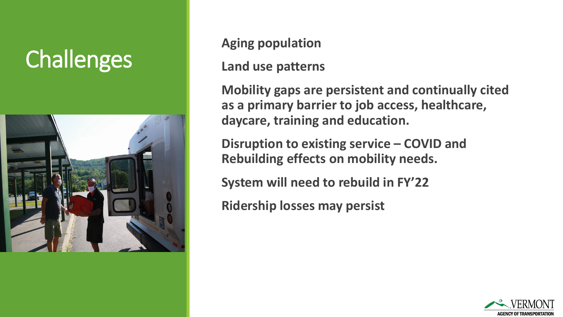# **Challenges Aging population**



#### **Land use patterns**

**Mobility gaps are persistent and continually cited as a primary barrier to job access, healthcare, daycare, training and education.**

**Disruption to existing service – COVID and Rebuilding effects on mobility needs.**

**System will need to rebuild in FY'22**

**Ridership losses may persist**

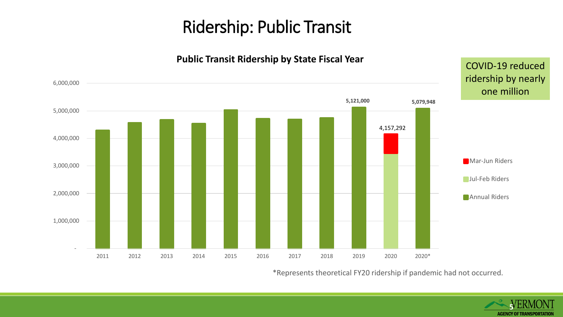### Ridership: Public Transit



#### **Public Transit Ridership by State Fiscal Year**

\*Represents theoretical FY20 ridership if pandemic had not occurred.

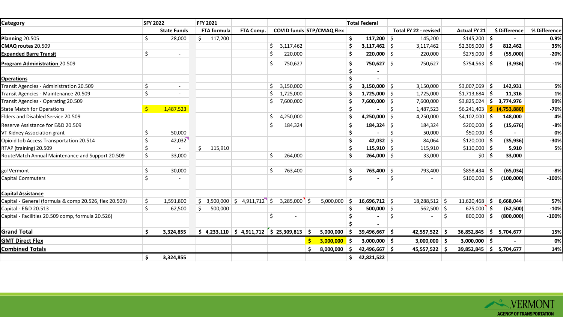| <b>Category</b>                                        |     | <b>SFY 2022</b>          | <b>FFY 2021</b> |                                                                                            |                |   |                           |     | <b>Total Federal</b>  |    |                       |    |                           |      |               |              |
|--------------------------------------------------------|-----|--------------------------|-----------------|--------------------------------------------------------------------------------------------|----------------|---|---------------------------|-----|-----------------------|----|-----------------------|----|---------------------------|------|---------------|--------------|
|                                                        |     | <b>State Funds</b>       | FTA formula     | FTA Comp.                                                                                  |                |   | COVID funds STP/CMAQ Flex |     |                       |    | Total FY 22 - revised |    | <b>Actual FY 21</b>       |      | \$Difference  | % Difference |
| <b>Planning 20.505</b>                                 | Ś.  | 28,000                   | Ś.<br>117,200   |                                                                                            |                |   |                           | \$  | 117,200 $\frac{1}{2}$ |    | 145,200               |    | $$145,200$ \$             |      |               | 0.9%         |
| CMAQ routes 20.509                                     |     |                          |                 |                                                                                            | 3,117,462      |   |                           | Ŝ   | $3,117,462$ \$        |    | 3,117,462             |    | $$2,305,000$ \$           |      | 812,462       | 35%          |
| <b>Expanded Barre Transit</b>                          | \$  | $\overline{\phantom{a}}$ |                 |                                                                                            | 220,000        |   |                           | .\$ | $220,000$ \$          |    | 220,000               |    | $$275,000$ \$             |      | (55,000)      | $-20%$       |
| <b>Program Administration 20.509</b>                   |     |                          |                 |                                                                                            | 750,627<br>-S  |   |                           | \$  | $750,627$ \$          |    | 750,627               |    | $$754,563$ \$             |      | (3,936)       | $-1%$        |
|                                                        |     |                          |                 |                                                                                            |                |   |                           | \$  |                       |    |                       |    |                           |      |               |              |
| <b>Operations</b>                                      |     |                          |                 |                                                                                            |                |   |                           | Ś.  |                       |    |                       |    |                           |      |               |              |
| Transit Agencies - Administration 20.509               | Ś.  | $\overline{\phantom{a}}$ |                 |                                                                                            | 3,150,000      |   |                           | Ś   | 3,150,000 \$          |    | 3,150,000             |    | $$3,007,069$ \$           |      | 142,931       | 5%           |
| Transit Agencies - Maintenance 20.509                  | \$  |                          |                 |                                                                                            | 1,725,000      |   |                           | \$  | $1,725,000$ \$        |    | 1,725,000             |    | \$1,713,684               |      | 11,316        | 1%           |
| Transit Agencies - Operating 20.509                    |     |                          |                 |                                                                                            | 7,600,000      |   |                           | .\$ | $7,600,000$ \$        |    | 7,600,000             |    | \$3,825,024               | - \$ | 3,774,976     | 99%          |
| <b>State Match for Operations</b>                      | \$. | 1,487,523                |                 |                                                                                            |                |   |                           | \$  |                       | \$ | 1,487,523             |    | $$6,241,403$ \$           |      | (4, 753, 880) | $-76%$       |
| Elders and Disabled Service 20.509                     |     |                          |                 |                                                                                            | Ś<br>4,250,000 |   |                           | Ś   | $4,250,000$ \$        |    | 4,250,000             |    | $$4,102,000$ \$           |      | 148,000       | 4%           |
| Reserve Assistance for E&D 20.509                      |     |                          |                 |                                                                                            | 184,324        |   |                           | \$. | $184,324$ \$          |    | 184,324               |    | $$200,000$ \$             |      | (15, 676)     | $-8%$        |
| VT Kidney Association grant                            | Ś.  | 50,000                   |                 |                                                                                            |                |   |                           | \$  |                       | Ś. | 50,000                |    | $$50,000$ \$              |      |               | 0%           |
| Opioid Job Access Transportation 20.514                | Ś   | 42,032                   |                 |                                                                                            |                |   |                           | Ś   | 42,032 \$             |    | 84,064                |    | $$120,000$ \$             |      | (35, 936)     | $-30%$       |
| RTAP (training) 20.509                                 | Ś   |                          | \$<br>115,910   |                                                                                            |                |   |                           | \$  | 115,910 $\frac{1}{2}$ |    | 115,910               |    | $$110,000$ \$             |      | 5,910         | 5%           |
| RouteMatch Annual Maintenance and Support 20.509       | Ś   | 33,000                   |                 |                                                                                            | 264,000<br>Ś.  |   |                           | Ŝ.  | $264,000$ \$          |    | 33,000                |    | $$0 \mid $$               |      | 33,000        |              |
| go!Vermont                                             | Ś.  | 30,000                   |                 |                                                                                            | 763,400<br>Ŝ.  |   |                           | \$  | 763,400 \$            |    | 793,400               |    | $$858,434$ \$             |      | (65, 034)     | $-8%$        |
| <b>Capital Commuters</b>                               | Ś.  |                          |                 |                                                                                            |                |   |                           | \$  |                       | Ś. |                       |    | \$100,000                 | - Ś  | (100,000)     | $-100%$      |
| <b>Capital Assistance</b>                              |     |                          |                 |                                                                                            |                |   |                           |     |                       |    |                       |    |                           |      |               |              |
| Capital - General (formula & comp 20.526, flex 20.509) | Ś.  | 1,591,800                | 3,500,000<br>Ś. | $4,911,712$ \$<br>S.                                                                       | $3,285,000$ \$ |   | 5,000,000                 | Ŝ.  | $16,696,712$ \$       |    | 18,288,512 \$         |    | 11,620,468                | ∣\$. | 6,668,044     | 57%          |
| Capital - E&D 20.513                                   | Ś.  | 62,500                   | Ś.<br>500,000   |                                                                                            |                |   |                           | \$  | $500,000$ \$          |    | $562,500$ \$          |    | $625,000$ \$              |      | (62, 500)     | $-10%$       |
| Capital - Facilities 20.509 comp, formula 20.526)      |     |                          |                 |                                                                                            | Ŝ.             |   |                           | Ŝ.  |                       | Ś  |                       | Ŝ. | $800,000$ \$              |      | (800,000)     | $-100%$      |
|                                                        |     |                          |                 |                                                                                            |                |   |                           |     | $\blacksquare$        |    |                       |    |                           |      |               |              |
| <b>Grand Total</b>                                     | \$  | 3,324,855                |                 | $\binom{1}{2}$ 4,233,110 $\binom{1}{2}$ 4,911,712 $\binom{1}{2}$ 25,309,813 $\binom{1}{2}$ |                |   | 5,000,000                 | - Ś | 39,496,667 \$         |    | $42,557,522$ \$       |    | $36,852,845$ \$           |      | 5,704,677     | 15%          |
| <b>GMT Direct Flex</b>                                 |     |                          |                 |                                                                                            |                | Ś | $3,000,000$ \$            |     | $3,000,000$ \$        |    | $3,000,000$ \$        |    | $3,000,000$ \$            |      |               | 0%           |
| <b>Combined Totals</b>                                 |     |                          |                 |                                                                                            |                |   | 8,000,000                 | - S | 42,496,667 \$         |    | 45,557,522            |    | $39,852,845$ \$ 5,704,677 |      |               | 14%          |
|                                                        | \$  | 3,324,855                |                 |                                                                                            |                |   |                           | \$. | 42,821,522            |    |                       |    |                           |      |               |              |

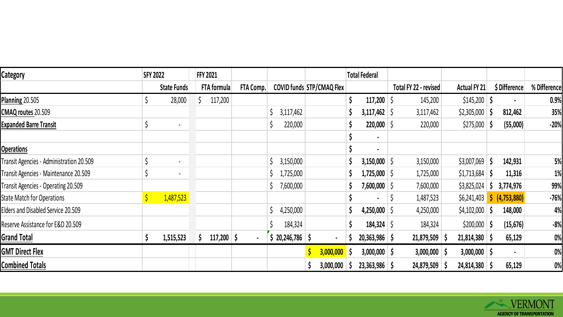| Category                                 | <b>SFY 2022</b> | <b>FFY 2021</b> |           |                                  |              | <b>Total Federal</b> |  |                  |   |                       |                 |    |                |              |
|------------------------------------------|-----------------|-----------------|-----------|----------------------------------|--------------|----------------------|--|------------------|---|-----------------------|-----------------|----|----------------|--------------|
|                                          | State Funds     | FTA formula     | FTA Comp. | <b>COVID funds STP/CMAQ Flex</b> |              |                      |  |                  |   | Total FY 22 - revised | Actual FY 21    |    | \$ Difference  | % Difference |
| <b>Planning 20.505</b>                   | 28,000          | 117,200         |           |                                  |              |                      |  | $117,200$   \$   |   | 145,200               | \$145,200       | -S |                | 0.9%         |
| CMAQ routes 20.509                       |                 |                 |           | 3,117,462                        |              |                      |  | 3,117,462   \$   |   | 3,117,462             | \$2,305,000     | -Ş | 812,462        | 35%          |
| Expanded Barre Transit                   | $\blacksquare$  |                 |           | 220,000                          |              |                      |  | $220,000$   \$   |   | 220,000               | $$275,000$   \$ |    | (55,000)       | $-20%$       |
|                                          |                 |                 |           |                                  |              |                      |  | $\blacksquare$   |   |                       |                 |    |                |              |
| <b>Operations</b>                        |                 |                 |           |                                  |              |                      |  | $\blacksquare$   |   |                       |                 |    |                |              |
| Transit Agencies - Administration 20.509 | $\blacksquare$  |                 |           | 3,150,000                        |              |                      |  | 3,150,000 \$     |   | 3,150,000             | \$3,007,069     | -S | 142,931        | 5%           |
| Transit Agencies - Maintenance 20.509    | $\blacksquare$  |                 |           | 1,725,000                        |              |                      |  | 1,725,000 S      |   | 1,725,000             | \$1,713,684     |    | 11,316         | 1%           |
| Transit Agencies - Operating 20.509      |                 |                 |           | 7,600,000                        |              |                      |  | 7,600,000 \$     |   | 7,600,000             | \$3,825,024     | J. | 3,774,976      | 99%          |
| State Match for Operations               | 1,487,523       |                 |           |                                  |              |                      |  | $\blacksquare$   | 5 | 1,487,523             | \$6,241,403     |    | (4, 753, 880)  | $-76%$       |
| Elders and Disabled Service 20.509       |                 |                 |           | 4,250,000                        |              |                      |  | $4,250,000$ \ \$ |   | 4,250,000             | \$4,102,000     |    | 148,000        | 4%           |
| Reserve Assistance for E&D 20.509        |                 |                 |           | 184,324                          |              |                      |  | $184,324$ \$     |   | 184,324               | $$200,000$ \$   |    | (15, 676)      | $-8%$        |
| <b>Grand Total</b>                       | 1,515,523       | $117,200$ \$    | $\bullet$ | 20,246,786 \$                    |              |                      |  | $20,363,986$ \$  |   | $21,879,509$ \$       | $21,814,380$ \$ |    | 65,129         | 0%           |
| <b>GMT Direct Flex</b>                   |                 |                 |           |                                  | $\mathsf{S}$ | $3,000,000$ \$       |  | $3,000,000$ \$   |   | $3,000,000$ \$        | $3,000,000$ \$  |    | $\blacksquare$ | 0%           |
| <b>Combined Totals</b>                   |                 |                 |           |                                  |              | $3,000,000$ \$       |  | $23,363,986$ \$  |   | 24,879,509            | 24,814,380 \$   |    | 65,129         | 0%           |

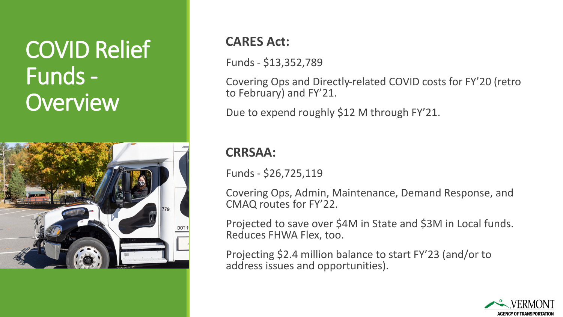## COVID Relief Funds - **Overview**



#### **CARES Act:**

Funds - \$13,352,789

Covering Ops and Directly-related COVID costs for FY'20 (retro to February) and FY'21.

Due to expend roughly \$12 M through FY'21.

#### **CRRSAA:**

Funds - \$26,725,119

Covering Ops, Admin, Maintenance, Demand Response, and CMAQ routes for FY'22.

Projected to save over \$4M in State and \$3M in Local funds. Reduces FHWA Flex, too.

Projecting \$2.4 million balance to start FY'23 (and/or to address issues and opportunities).